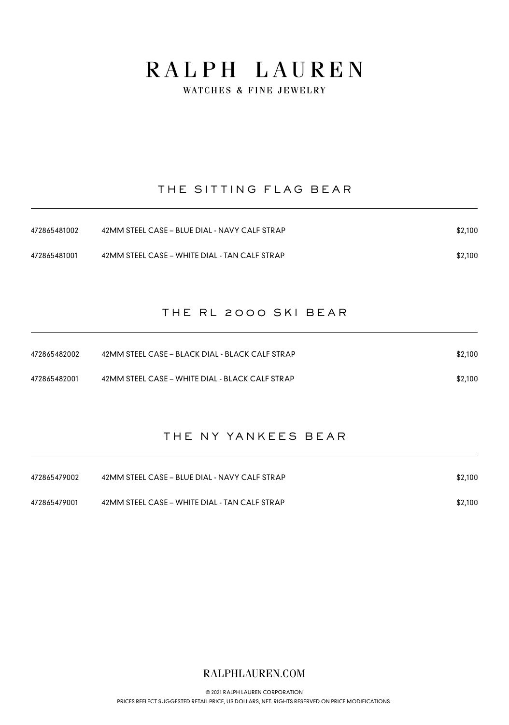WATCHES & FINE JEWELRY

### THE SITTING FLAG BEAR

| 472865481002 | 42MM STEEL CASE - BLUE DIAL - NAVY CALF STRAP | \$2,100 |
|--------------|-----------------------------------------------|---------|
| 472865481001 | 42MM STEEL CASE – WHITE DIAL - TAN CALF STRAP | \$2,100 |

#### THE RL 2000 SKI BEAR

| 472865482002 | 42MM STEEL CASE – BLACK DIAL - BLACK CALF STRAP | \$2,100 |
|--------------|-------------------------------------------------|---------|
| 472865482001 | 42MM STEEL CASE – WHITE DIAL - BLACK CALF STRAP | \$2,100 |

### THE NY YANKEES BEAR

| 472865479002 | 42MM STEEL CASE - BLUE DIAL - NAVY CALF STRAP | \$2,100 |
|--------------|-----------------------------------------------|---------|
| 472865479001 | 42MM STEEL CASE - WHITE DIAL - TAN CALF STRAP | \$2,100 |

### RALPHLAUREN.COM

© 2021 RALPH LAUREN CORPORATION [PRICES REFLECT SUGGESTED RETAIL PRICE, US DOLLARS, NET. RIGHTS RESERVED ON PRICE MODIFICATIONS.](https://www.ralphlauren.com)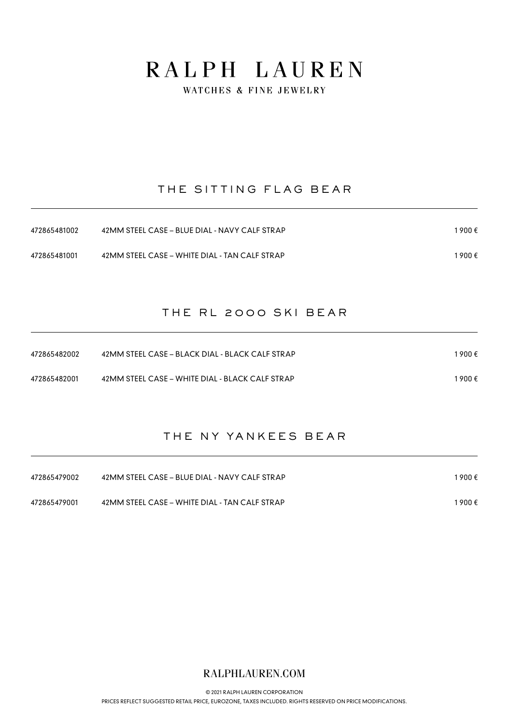WATCHES & FINE JEWELRY

### THE SITTING FLAG BEAR

| 472865481002 | 42MM STEEL CASE – BLUE DIAL - NAVY CALF STRAP | 1 900 € |
|--------------|-----------------------------------------------|---------|
| 472865481001 | 42MM STEEL CASE – WHITE DIAL - TAN CALF STRAP | 1 900 € |

#### THE RL 2000 SKI BEAR

| 472865482002 | 42MM STEEL CASE – BLACK DIAL - BLACK CALF STRAP | 1 900 € |
|--------------|-------------------------------------------------|---------|
| 472865482001 | 42MM STEEL CASE – WHITE DIAL - BLACK CALF STRAP | 1 900 € |

### THE NY YANKEES BEAR

| 472865479002 | 42MM STEEL CASE - BLUE DIAL - NAVY CALF STRAP | 1900€ |
|--------------|-----------------------------------------------|-------|
| 472865479001 | 42MM STEEL CASE - WHITE DIAL - TAN CALF STRAP | 1900€ |

### RALPHLAUREN.COM

© 2021 RALPH LAUREN CORPORATION [PRICES REFLECT SUGGESTED RETAIL PRICE, EUROZONE, TAXES INCLUDED. RIGHTS RESERVED ON PRICE MODIFICATIONS.](https://www.ralphlauren.com)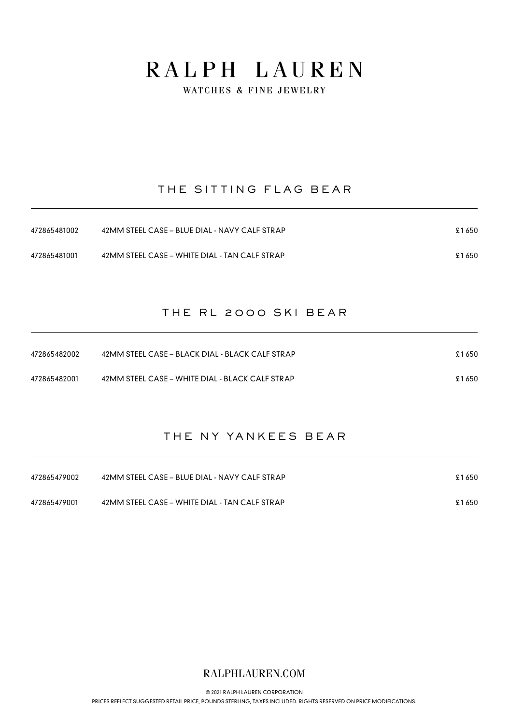WATCHES & FINE JEWELRY

### THE SITTING FLAG BEAR

| 472865481002 | 42MM STEEL CASE – BLUE DIAL - NAVY CALF STRAP | £1650 |
|--------------|-----------------------------------------------|-------|
| 472865481001 | 42MM STEEL CASE – WHITE DIAL - TAN CALF STRAP | £1650 |

#### THE RL 2000 SKI BEAR

| 472865482002 | 42MM STEEL CASE – BLACK DIAL - BLACK CALF STRAP | £1650 |
|--------------|-------------------------------------------------|-------|
| 472865482001 | 42MM STEEL CASE – WHITE DIAL - BLACK CALF STRAP | £1650 |

### THE NY YANKEES BEAR

| 472865479002 | 42MM STEEL CASE - BLUE DIAL - NAVY CALF STRAP | £1650 |
|--------------|-----------------------------------------------|-------|
| 472865479001 | 42MM STEEL CASE - WHITE DIAL - TAN CALF STRAP | £1650 |

### RALPHLAUREN.COM

© 2021 RALPH LAUREN CORPORATION

[PRICES REFLECT SUGGESTED RETAIL PRICE, POUNDS STERLING, TAXES INCLUDED. RIGHTS RESERVED ON PRICE MODIFICATIONS.](https://www.ralphlauren.com)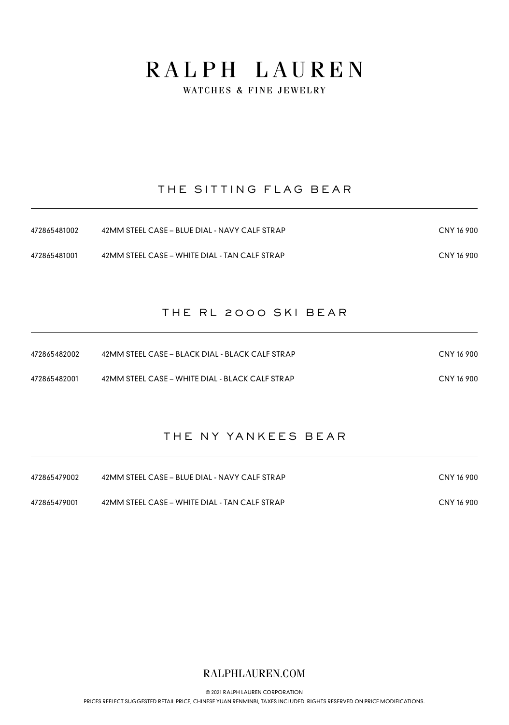WATCHES & FINE JEWELRY

### THE SITTING FLAG BEAR

| 472865481002 | 42MM STEEL CASE – BLUE DIAL - NAVY CALF STRAP | CNY 16 900 |
|--------------|-----------------------------------------------|------------|
| 472865481001 | 42MM STEEL CASE – WHITE DIAL - TAN CALF STRAP | CNY 16 900 |

#### THE RL 2000 SKI BEAR

| 472865482002 | 42MM STEEL CASE – BLACK DIAL - BLACK CALF STRAP | CNY 16 900 |
|--------------|-------------------------------------------------|------------|
| 472865482001 | 42MM STEEL CASE – WHITE DIAL - BLACK CALF STRAP | CNY 16 900 |

### THE NY YANKEES BEAR

| 472865479002 | 42MM STEEL CASE – BLUE DIAL - NAVY CALF STRAP | CNY 16 900 |
|--------------|-----------------------------------------------|------------|
| 472865479001 | 42MM STEEL CASE – WHITE DIAL - TAN CALF STRAP | CNY 16 900 |

### RALPHLAUREN.COM

© 2021 RALPH LAUREN CORPORATION

[PRICES REFLECT SUGGESTED RETAIL PRICE, CHINESE YUAN RENMINBI, TAXES INCLUDED. RIGHTS RESERVED ON PRICE MODIFICATIONS.](https://www.ralphlauren.com)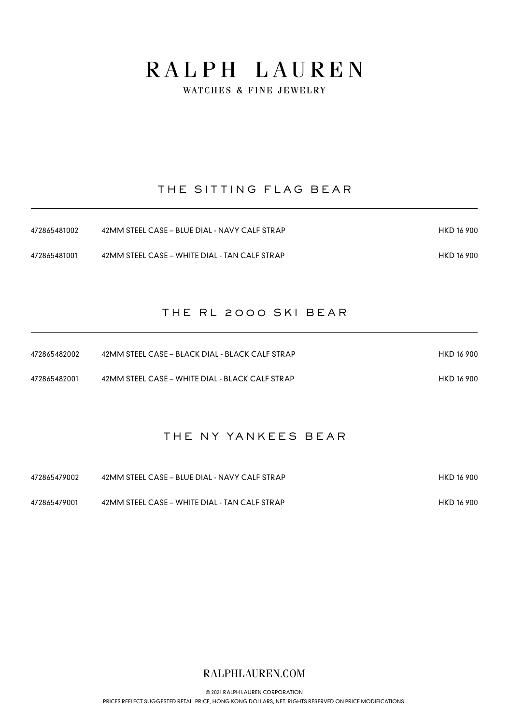WATCHES & FINE JEWELRY

### THE SITTING FLAG BEAR

| 472865481002 | 42MM STEEL CASE - BLUE DIAL - NAVY CALF STRAP | HKD 16 900 |
|--------------|-----------------------------------------------|------------|
| 472865481001 | 42MM STEEL CASE – WHITE DIAL - TAN CALF STRAP | HKD 16 900 |

#### THE RL 2000 SKI BEAR

| 472865482002 | 42MM STEEL CASE – BLACK DIAL - BLACK CALF STRAP | HKD 16 900 |
|--------------|-------------------------------------------------|------------|
| 472865482001 | 42MM STEEL CASE – WHITE DIAL - BLACK CALF STRAP | HKD 16 900 |

### THE NY YANKEES BEAR

| 472865479002 | 42MM STEEL CASE – BLUE DIAL - NAVY CALF STRAP | HKD 16 900 |
|--------------|-----------------------------------------------|------------|
| 472865479001 | 42MM STEEL CASE – WHITE DIAL - TAN CALF STRAP | HKD 16 900 |

RALPHLAUREN.COM

© 2021 RALPH LAUREN CORPORATION [PRICES REFLECT SUGGESTED RETAIL PRICE, HONG KONG DOLLARS, NET. RIGHTS RESERVED ON PRICE MODIFICATIONS.](https://www.ralphlauren.com)